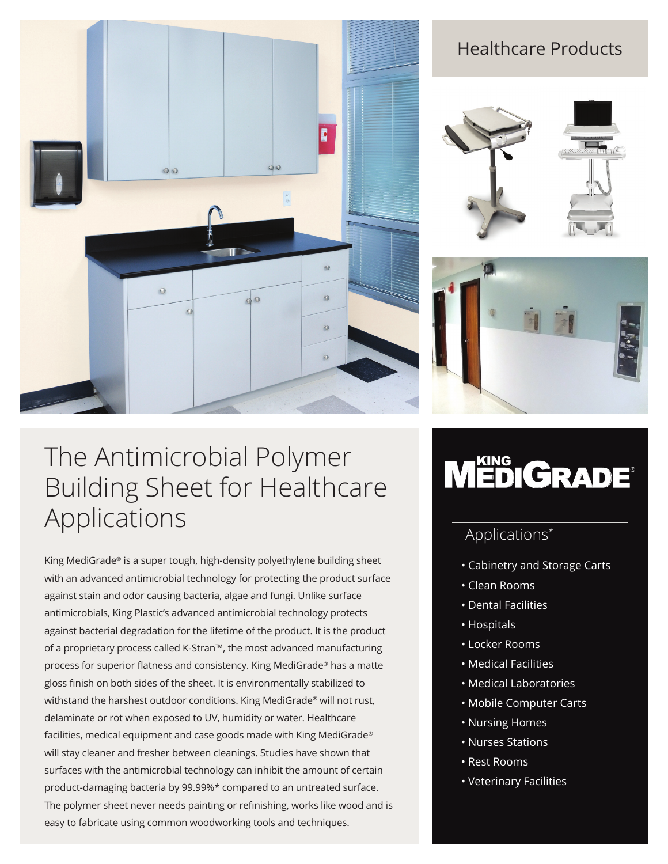

### Healthcare Products





## The Antimicrobial Polymer Building Sheet for Healthcare Applications

King MediGrade® is a super tough, high-density polyethylene building sheet with an advanced antimicrobial technology for protecting the product surface against stain and odor causing bacteria, algae and fungi. Unlike surface antimicrobials, King Plastic's advanced antimicrobial technology protects against bacterial degradation for the lifetime of the product. It is the product of a proprietary process called K-Stran™, the most advanced manufacturing process for superior flatness and consistency. King MediGrade® has a matte gloss finish on both sides of the sheet. It is environmentally stabilized to withstand the harshest outdoor conditions. King MediGrade® will not rust, delaminate or rot when exposed to UV, humidity or water. Healthcare facilities, medical equipment and case goods made with King MediGrade® will stay cleaner and fresher between cleanings. Studies have shown that surfaces with the antimicrobial technology can inhibit the amount of certain product-damaging bacteria by 99.99%\* compared to an untreated surface. The polymer sheet never needs painting or refinishing, works like wood and is easy to fabricate using common woodworking tools and techniques.

# MEDIGRADE®

### Applications\*

- Cabinetry and Storage Carts
- Clean Rooms
- Dental Facilities
- Hospitals
- Locker Rooms
- Medical Facilities
- Medical Laboratories
- Mobile Computer Carts
- Nursing Homes
- Nurses Stations
- Rest Rooms
- Veterinary Facilities